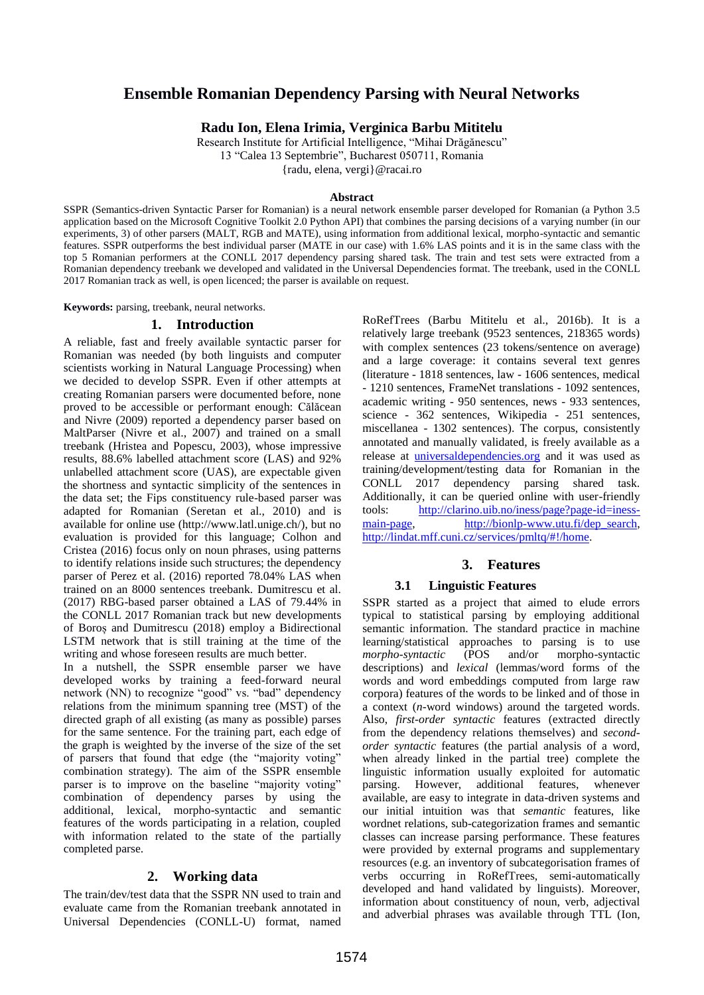# **Ensemble Romanian Dependency Parsing with Neural Networks**

**Radu Ion, Elena Irimia, Verginica Barbu Mititelu**

Research Institute for Artificial Intelligence, "Mihai Drăgănescu" 13 "Calea 13 Septembrie", Bucharest 050711, Romania {radu, elena, vergi}@racai.ro

#### **Abstract**

SSPR (Semantics-driven Syntactic Parser for Romanian) is a neural network ensemble parser developed for Romanian (a Python 3.5 application based on the Microsoft Cognitive Toolkit 2.0 Python API) that combines the parsing decisions of a varying number (in our experiments, 3) of other parsers (MALT, RGB and MATE), using information from additional lexical, morpho-syntactic and semantic features. SSPR outperforms the best individual parser (MATE in our case) with 1.6% LAS points and it is in the same class with the top 5 Romanian performers at the CONLL 2017 dependency parsing shared task. The train and test sets were extracted from a Romanian dependency treebank we developed and validated in the Universal Dependencies format. The treebank, used in the CONLL 2017 Romanian track as well, is open licenced; the parser is available on request.

**Keywords:** parsing, treebank, neural networks.

#### **1. Introduction**

A reliable, fast and freely available syntactic parser for Romanian was needed (by both linguists and computer scientists working in Natural Language Processing) when we decided to develop SSPR. Even if other attempts at creating Romanian parsers were documented before, none proved to be accessible or performant enough: Călăcean and Nivre (2009) reported a dependency parser based on MaltParser (Nivre et al., 2007) and trained on a small treebank (Hristea and Popescu, 2003), whose impressive results, 88.6% labelled attachment score (LAS) and 92% unlabelled attachment score (UAS), are expectable given the shortness and syntactic simplicity of the sentences in the data set; the Fips constituency rule-based parser was adapted for Romanian (Seretan et al., 2010) and is available for online use [\(http://www.latl.unige.ch/\)](http://www.latl.unige.ch/), but no evaluation is provided for this language; Colhon and Cristea (2016) focus only on noun phrases, using patterns to identify relations inside such structures; the dependency parser of Perez et al. (2016) reported 78.04% LAS when trained on an 8000 sentences treebank. Dumitrescu et al. (2017) RBG-based parser obtained a LAS of 79.44% in the CONLL 2017 Romanian track but new developments of Boroș and Dumitrescu (2018) employ a Bidirectional LSTM network that is still training at the time of the writing and whose foreseen results are much better.

In a nutshell, the SSPR ensemble parser we have developed works by training a feed-forward neural network (NN) to recognize "good" vs. "bad" dependency relations from the minimum spanning tree (MST) of the directed graph of all existing (as many as possible) parses for the same sentence. For the training part, each edge of the graph is weighted by the inverse of the size of the set of parsers that found that edge (the "majority voting" combination strategy). The aim of the SSPR ensemble parser is to improve on the baseline "majority voting" combination of dependency parses by using the additional, lexical, morpho-syntactic and semantic features of the words participating in a relation, coupled with information related to the state of the partially completed parse.

## **2. Working data**

The train/dev/test data that the SSPR NN used to train and evaluate came from the Romanian treebank annotated in Universal Dependencies (CONLL-U) format, named

RoRefTrees (Barbu Mititelu et al., 2016b). It is a relatively large treebank (9523 sentences, 218365 words) with complex sentences (23 tokens/sentence on average) and a large coverage: it contains several text genres (literature - 1818 sentences, law - 1606 sentences, medical - 1210 sentences, FrameNet translations - 1092 sentences, academic writing - 950 sentences, news - 933 sentences, science - 362 sentences, Wikipedia - 251 sentences, miscellanea - 1302 sentences). The corpus, consistently annotated and manually validated, is freely available as a release at [universaldependencies.org](http://universaldependencies.org/) and it was used as training/development/testing data for Romanian in the CONLL 2017 dependency parsing shared task. Additionally, it can be queried online with user-friendly tools: [http://clarino.uib.no/iness/page?page-id=iness](http://clarino.uib.no/iness/page?page-id=iness-main-page)[main-page,](http://clarino.uib.no/iness/page?page-id=iness-main-page) [http://bionlp-www.utu.fi/dep\\_search,](http://bionlp-www.utu.fi/dep_search) [http://lindat.mff.cuni.cz/services/pmltq/#!/home.](http://lindat.mff.cuni.cz/services/pmltq/%23!/home)

# **3. Features**

## **3.1 Linguistic Features**

SSPR started as a project that aimed to elude errors typical to statistical parsing by employing additional semantic information. The standard practice in machine learning/statistical approaches to parsing is to use<br>morpho-syntactic (POS and/or morpho-syntactic *morpho-syntactic* (POS and/or morpho-syntactic descriptions) and *lexical* (lemmas/word forms of the words and word embeddings computed from large raw corpora) features of the words to be linked and of those in a context (*n*-word windows) around the targeted words. Also, *first-order syntactic* features (extracted directly from the dependency relations themselves) and *secondorder syntactic* features (the partial analysis of a word, when already linked in the partial tree) complete the linguistic information usually exploited for automatic parsing. However, additional features, whenever available, are easy to integrate in data-driven systems and our initial intuition was that *semantic* features, like wordnet relations, sub-categorization frames and semantic classes can increase parsing performance. These features were provided by external programs and supplementary resources (e.g. an inventory of subcategorisation frames of verbs occurring in RoRefTrees, semi-automatically developed and hand validated by linguists). Moreover, information about constituency of noun, verb, adjectival and adverbial phrases was available through TTL (Ion,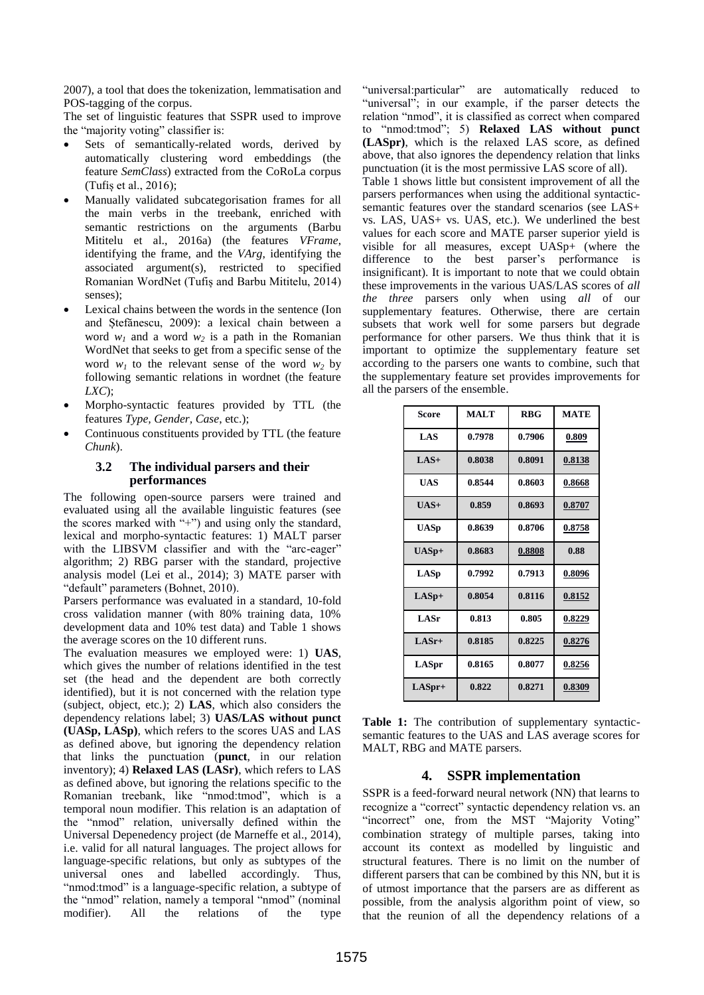2007), a tool that does the tokenization, lemmatisation and POS-tagging of the corpus.

The set of linguistic features that SSPR used to improve the "majority voting" classifier is:

- Sets of semantically-related words, derived by automatically clustering word embeddings (the feature *SemClass*) extracted from the CoRoLa corpus (Tufiș et al., 2016);
- Manually validated subcategorisation frames for all the main verbs in the treebank, enriched with semantic restrictions on the arguments (Barbu Mititelu et al., 2016a) (the features *VFrame*, identifying the frame, and the *VArg*, identifying the associated argument(s), restricted to specified Romanian WordNet (Tufiș and Barbu Mititelu, 2014) senses)<sup>;</sup>
- Lexical chains between the words in the sentence (Ion and Ștefănescu, 2009): a lexical chain between a word  $w_1$  and a word  $w_2$  is a path in the Romanian WordNet that seeks to get from a specific sense of the word  $w_1$  to the relevant sense of the word  $w_2$  by following semantic relations in wordnet (the feature *LXC*);
- Morpho-syntactic features provided by TTL (the features *Type, Gender, Case*, etc.);
- Continuous constituents provided by TTL (the feature *Chunk*).

#### **3.2 The individual parsers and their performances**

The following open-source parsers were trained and evaluated using all the available linguistic features (see the scores marked with "+") and using only the standard, lexical and morpho-syntactic features: 1) MALT parser with the LIBSVM classifier and with the "arc-eager" algorithm; 2) RBG parser with the standard, projective analysis model (Lei et al., 2014); 3) MATE parser with "default" parameters (Bohnet, 2010).

Parsers performance was evaluated in a standard, 10-fold cross validation manner (with 80% training data, 10% development data and 10% test data) and Table 1 shows the average scores on the 10 different runs.

The evaluation measures we employed were: 1) **UAS**, which gives the number of relations identified in the test set (the head and the dependent are both correctly identified), but it is not concerned with the relation type (subject, object, etc.); 2) **LAS**, which also considers the dependency relations label; 3) **UAS/LAS without punct (UASp, LASp)**, which refers to the scores UAS and LAS as defined above, but ignoring the dependency relation that links the punctuation (**punct**, in our relation inventory); 4) **Relaxed LAS (LASr)**, which refers to LAS as defined above, but ignoring the relations specific to the Romanian treebank, like "nmod:tmod", which is a temporal noun modifier. This relation is an adaptation of the "nmod" relation, universally defined within the Universal Depenedency project (de Marneffe et al., 2014), i.e. valid for all natural languages. The project allows for language-specific relations, but only as subtypes of the universal ones and labelled accordingly. Thus, "nmod:tmod" is a language-specific relation, a subtype of the "nmod" relation, namely a temporal "nmod" (nominal modifier). All the relations of the type

"universal:particular" are automatically reduced to "universal"; in our example, if the parser detects the relation "nmod", it is classified as correct when compared to "nmod:tmod"; 5) **Relaxed LAS without punct (LASpr)**, which is the relaxed LAS score, as defined above, that also ignores the dependency relation that links punctuation (it is the most permissive LAS score of all).

Table 1 shows little but consistent improvement of all the parsers performances when using the additional syntacticsemantic features over the standard scenarios (see LAS+ vs. LAS, UAS+ vs. UAS, etc.). We underlined the best values for each score and MATE parser superior yield is visible for all measures, except UASp+ (where the difference to the best parser's performance is insignificant). It is important to note that we could obtain these improvements in the various UAS/LAS scores of *all the three* parsers only when using *all* of our supplementary features. Otherwise, there are certain subsets that work well for some parsers but degrade performance for other parsers. We thus think that it is important to optimize the supplementary feature set according to the parsers one wants to combine, such that the supplementary feature set provides improvements for all the parsers of the ensemble.

| Score       | <b>MALT</b> | <b>RBG</b> | <b>MATE</b> |
|-------------|-------------|------------|-------------|
| <b>LAS</b>  | 0.7978      | 0.7906     | 0.809       |
| $LAS+$      | 0.8038      | 0.8091     | 0.8138      |
| <b>UAS</b>  | 0.8544      | 0.8603     | 0.8668      |
| $UAS+$      | 0.859       | 0.8693     | 0.8707      |
| <b>UASp</b> | 0.8639      | 0.8706     | 0.8758      |
| $UASp+$     | 0.8683      | 0.8808     | 0.88        |
| LASp        | 0.7992      | 0.7913     | 0.8096      |
| $LASp+$     | 0.8054      | 0.8116     | 0.8152      |
| LASr        | 0.813       | 0.805      | 0.8229      |
| $LASr+$     | 0.8185      | 0.8225     | 0.8276      |
| LASpr       | 0.8165      | 0.8077     | 0.8256      |
| $LASpr+$    | 0.822       | 0.8271     | 0.8309      |

**Table 1:** The contribution of supplementary syntacticsemantic features to the UAS and LAS average scores for MALT, RBG and MATE parsers.

# **4. SSPR implementation**

SSPR is a feed-forward neural network (NN) that learns to recognize a "correct" syntactic dependency relation vs. an "incorrect" one, from the MST "Majority Voting" combination strategy of multiple parses, taking into account its context as modelled by linguistic and structural features. There is no limit on the number of different parsers that can be combined by this NN, but it is of utmost importance that the parsers are as different as possible, from the analysis algorithm point of view, so that the reunion of all the dependency relations of a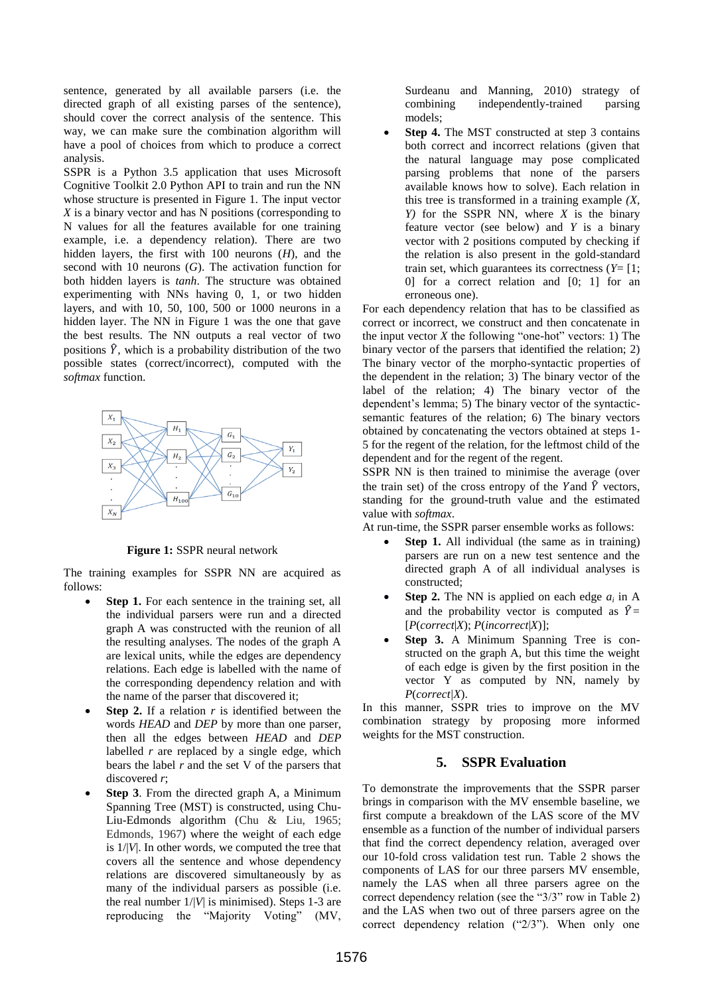sentence, generated by all available parsers (i.e. the directed graph of all existing parses of the sentence), should cover the correct analysis of the sentence. This way, we can make sure the combination algorithm will have a pool of choices from which to produce a correct analysis.

SSPR is a Python 3.5 application that uses Microsoft Cognitive Toolkit 2.0 Python API to train and run the NN whose structure is presented in Figure 1. The input vector *X* is a binary vector and has N positions (corresponding to N values for all the features available for one training example, i.e. a dependency relation). There are two hidden layers, the first with 100 neurons (*H*), and the second with 10 neurons (*G*). The activation function for both hidden layers is *tanh*. The structure was obtained experimenting with NNs having 0, 1, or two hidden layers, and with 10, 50, 100, 500 or 1000 neurons in a hidden layer. The NN in Figure 1 was the one that gave the best results. The NN outputs a real vector of two positions  $\hat{Y}$ , which is a probability distribution of the two possible states (correct/incorrect), computed with the *softmax* function.



**Figure 1:** SSPR neural network

The training examples for SSPR NN are acquired as follows:

- **Step 1.** For each sentence in the training set, all the individual parsers were run and a directed graph A was constructed with the reunion of all the resulting analyses. The nodes of the graph A are lexical units, while the edges are dependency relations. Each edge is labelled with the name of the corresponding dependency relation and with the name of the parser that discovered it;
- **Step 2.** If a relation *r* is identified between the words *HEAD* and *DEP* by more than one parser, then all the edges between *HEAD* and *DEP* labelled *r* are replaced by a single edge, which bears the label *r* and the set V of the parsers that discovered *r*;
- **Step 3**. From the directed graph A, a Minimum Spanning Tree (MST) is constructed, using Chu-Liu-Edmonds algorithm (Chu & Liu, 1965; Edmonds, 1967) where the weight of each edge is 1/|*V*|. In other words, we computed the tree that covers all the sentence and whose dependency relations are discovered simultaneously by as many of the individual parsers as possible (i.e. the real number  $1/|V|$  is minimised). Steps 1-3 are reproducing the "Majority Voting" (MV,

Surdeanu and Manning, 2010) strategy of combining independently-trained parsing models;

**Step 4.** The MST constructed at step 3 contains both correct and incorrect relations (given that the natural language may pose complicated parsing problems that none of the parsers available knows how to solve). Each relation in this tree is transformed in a training example *(X, Y)* for the SSPR NN, where *X* is the binary feature vector (see below) and *Y* is a binary vector with 2 positions computed by checking if the relation is also present in the gold-standard train set, which guarantees its correctness  $(Y = [1])$ 0] for a correct relation and [0; 1] for an erroneous one).

For each dependency relation that has to be classified as correct or incorrect, we construct and then concatenate in the input vector  $X$  the following "one-hot" vectors: 1) The binary vector of the parsers that identified the relation; 2) The binary vector of the morpho-syntactic properties of the dependent in the relation; 3) The binary vector of the label of the relation; 4) The binary vector of the dependent's lemma; 5) The binary vector of the syntacticsemantic features of the relation; 6) The binary vectors obtained by concatenating the vectors obtained at steps 1- 5 for the regent of the relation, for the leftmost child of the dependent and for the regent of the regent.

SSPR NN is then trained to minimise the average (over the train set) of the cross entropy of the Y and  $\hat{Y}$  vectors, standing for the ground-truth value and the estimated value with *softmax*.

At run-time, the SSPR parser ensemble works as follows:

- **Step 1.** All individual (the same as in training) parsers are run on a new test sentence and the directed graph A of all individual analyses is constructed;
- **Step 2.** The NN is applied on each edge  $a_i$  in A and the probability vector is computed as  $\hat{Y}$  = [*P*(*correct*|*X*); *P*(*incorrect*|*X*)];
- **Step 3.** A Minimum Spanning Tree is constructed on the graph A, but this time the weight of each edge is given by the first position in the vector Y as computed by NN, namely by *P*(*correct|X*).

In this manner, SSPR tries to improve on the MV combination strategy by proposing more informed weights for the MST construction.

# **5. SSPR Evaluation**

To demonstrate the improvements that the SSPR parser brings in comparison with the MV ensemble baseline, we first compute a breakdown of the LAS score of the MV ensemble as a function of the number of individual parsers that find the correct dependency relation, averaged over our 10-fold cross validation test run. Table 2 shows the components of LAS for our three parsers MV ensemble, namely the LAS when all three parsers agree on the correct dependency relation (see the "3/3" row in Table 2) and the LAS when two out of three parsers agree on the correct dependency relation ("2/3"). When only one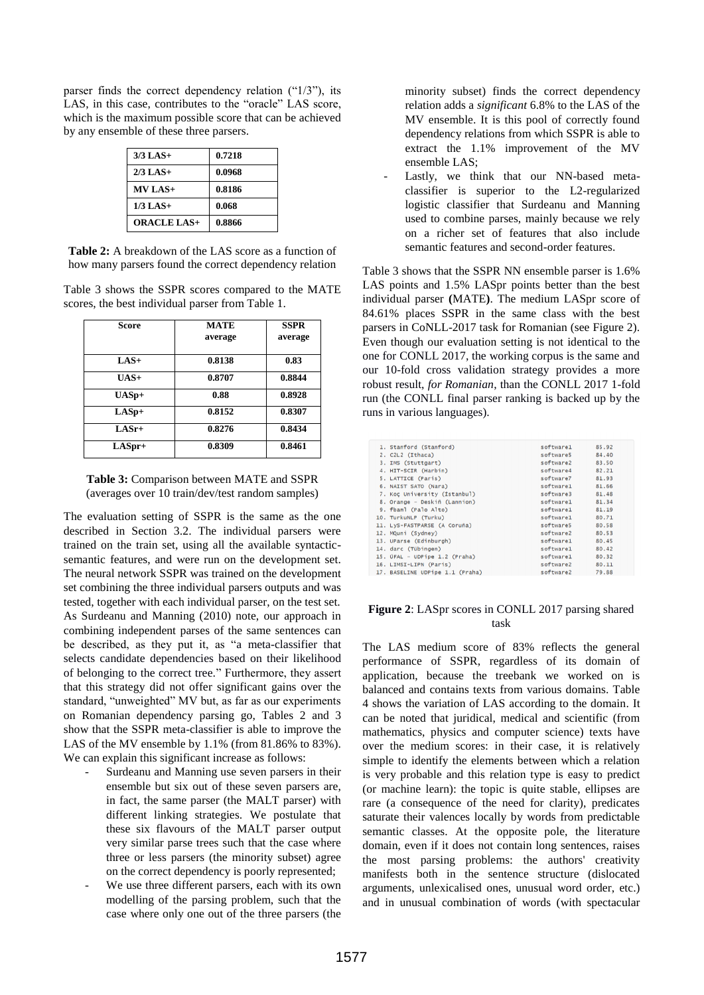parser finds the correct dependency relation ("1/3"), its LAS, in this case, contributes to the "oracle" LAS score, which is the maximum possible score that can be achieved by any ensemble of these three parsers.

| $3/3$ LAS+         | 0.7218 |
|--------------------|--------|
| $2/3$ LAS+         | 0.0968 |
| $MV LAS+$          | 0.8186 |
| $1/3$ LAS+         | 0.068  |
| <b>ORACLE LAS+</b> | 0.8866 |

**Table 2:** A breakdown of the LAS score as a function of how many parsers found the correct dependency relation

Table 3 shows the SSPR scores compared to the MATE scores, the best individual parser from Table 1.

| Score    | <b>MATE</b><br>average | <b>SSPR</b><br>average |
|----------|------------------------|------------------------|
| $LAS+$   | 0.8138                 | 0.83                   |
| $UAS+$   | 0.8707                 | 0.8844                 |
| $UASp+$  | 0.88                   | 0.8928                 |
| $LASp+$  | 0.8152                 | 0.8307                 |
| $LASr+$  | 0.8276                 | 0.8434                 |
| $LASpr+$ | 0.8309                 | 0.8461                 |

**Table 3:** Comparison between MATE and SSPR (averages over 10 train/dev/test random samples)

The evaluation setting of SSPR is the same as the one described in Section 3.2. The individual parsers were trained on the train set, using all the available syntacticsemantic features, and were run on the development set. The neural network SSPR was trained on the development set combining the three individual parsers outputs and was tested, together with each individual parser, on the test set. As Surdeanu and Manning (2010) note, our approach in combining independent parses of the same sentences can be described, as they put it, as "a meta-classifier that selects candidate dependencies based on their likelihood of belonging to the correct tree." Furthermore, they assert that this strategy did not offer significant gains over the standard, "unweighted" MV but, as far as our experiments on Romanian dependency parsing go, Tables 2 and 3 show that the SSPR meta-classifier is able to improve the LAS of the MV ensemble by 1.1% (from 81.86% to 83%). We can explain this significant increase as follows:

- Surdeanu and Manning use seven parsers in their ensemble but six out of these seven parsers are, in fact, the same parser (the MALT parser) with different linking strategies. We postulate that these six flavours of the MALT parser output very similar parse trees such that the case where three or less parsers (the minority subset) agree on the correct dependency is poorly represented;
- We use three different parsers, each with its own modelling of the parsing problem, such that the case where only one out of the three parsers (the

minority subset) finds the correct dependency relation adds a *significant* 6.8% to the LAS of the MV ensemble. It is this pool of correctly found dependency relations from which SSPR is able to extract the 1.1% improvement of the MV ensemble LAS;

Lastly, we think that our NN-based metaclassifier is superior to the L2-regularized logistic classifier that Surdeanu and Manning used to combine parses, mainly because we rely on a richer set of features that also include semantic features and second-order features.

Table 3 shows that the SSPR NN ensemble parser is 1.6% LAS points and 1.5% LASpr points better than the best individual parser **(**MATE**)**. The medium LASpr score of 84.61% places SSPR in the same class with the best parsers in CoNLL-2017 task for Romanian (see Figure 2). Even though our evaluation setting is not identical to the one for CONLL 2017, the working corpus is the same and our 10-fold cross validation strategy provides a more robust result, *for Romanian*, than the CONLL 2017 1-fold run (the CONLL final parser ranking is backed up by the runs in various languages).

| 1. Stanford (Stanford)          | software1 | 85.92 |
|---------------------------------|-----------|-------|
| 2. C2L2 (Ithaca)                | software5 | 84.40 |
| 3. IMS (Stuttgart)              | software2 | 83.50 |
| 4. HIT-SCIR (Harbin)            | software4 | 82.21 |
| 5. LATTICE (Paris)              | software7 | 81.93 |
| 6. NAIST SATO (Nara)            | software1 | 81.66 |
| 7. Koc University (Istanbul)    | software3 | 81.48 |
| 8. Orange - Deskiñ (Lannion)    | software1 | 81.34 |
| 9. fbaml (Palo Alto)            | software1 | 81.19 |
| 10. TurkuNLP (Turku)            | software1 | 80.71 |
| 11. LyS-FASTPARSE (A Coruña)    | software5 | 80.58 |
| 12. MQuni (Sydney)              | software2 | 80.53 |
| 13. UParse (Edinburgh)          | software1 | 80.45 |
| 14. darc (Tübingen)             | software1 | 80.42 |
| 15. ÚFAL - UDPipe 1.2 (Praha)   | software1 | 80.32 |
| 16. LIMSI-LIPN (Paris)          | software2 | 80.11 |
| 17. BASELINE UDPipe 1.1 (Praha) | software2 | 79.88 |
|                                 |           |       |

#### **Figure 2**: LASpr scores in CONLL 2017 parsing shared task

The LAS medium score of 83% reflects the general performance of SSPR, regardless of its domain of application, because the treebank we worked on is balanced and contains texts from various domains. Table 4 shows the variation of LAS according to the domain. It can be noted that juridical, medical and scientific (from mathematics, physics and computer science) texts have over the medium scores: in their case, it is relatively simple to identify the elements between which a relation is very probable and this relation type is easy to predict (or machine learn): the topic is quite stable, ellipses are rare (a consequence of the need for clarity), predicates saturate their valences locally by words from predictable semantic classes. At the opposite pole, the literature domain, even if it does not contain long sentences, raises the most parsing problems: the authors' creativity manifests both in the sentence structure (dislocated arguments, unlexicalised ones, unusual word order, etc.) and in unusual combination of words (with spectacular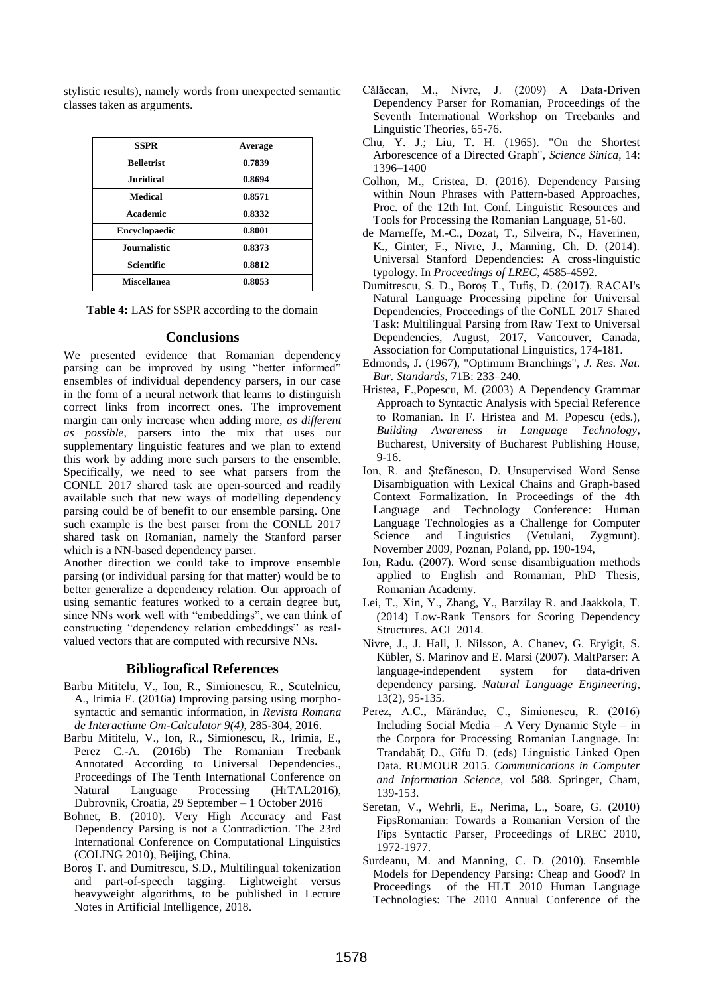stylistic results), namely words from unexpected semantic classes taken as arguments.

| <b>SSPR</b>          | Average |
|----------------------|---------|
| <b>Belletrist</b>    | 0.7839  |
| <b>Juridical</b>     | 0.8694  |
| Medical              | 0.8571  |
| Academic             | 0.8332  |
| <b>Encyclopaedic</b> | 0.8001  |
| <b>Journalistic</b>  | 0.8373  |
| Scientific           | 0.8812  |
| <b>Miscellanea</b>   | 0.8053  |

**Table 4:** LAS for SSPR according to the domain

#### **Conclusions**

We presented evidence that Romanian dependency parsing can be improved by using "better informed" ensembles of individual dependency parsers, in our case in the form of a neural network that learns to distinguish correct links from incorrect ones. The improvement margin can only increase when adding more, *as different as possible*, parsers into the mix that uses our supplementary linguistic features and we plan to extend this work by adding more such parsers to the ensemble. Specifically, we need to see what parsers from the CONLL 2017 shared task are open-sourced and readily available such that new ways of modelling dependency parsing could be of benefit to our ensemble parsing. One such example is the best parser from the CONLL 2017 shared task on Romanian, namely the Stanford parser which is a NN-based dependency parser.

Another direction we could take to improve ensemble parsing (or individual parsing for that matter) would be to better generalize a dependency relation. Our approach of using semantic features worked to a certain degree but, since NNs work well with "embeddings", we can think of constructing "dependency relation embeddings" as realvalued vectors that are computed with recursive NNs.

## **Bibliografical References**

- Barbu Mititelu, V., Ion, R., Simionescu, R., Scutelnicu, A., Irimia E. (2016a) Improving parsing using morphosyntactic and semantic information, in *Revista Romana de Interactiune Om-Calculator 9(4)*, 285-304, 2016.
- Barbu Mititelu, V., Ion, R., Simionescu, R., Irimia, E., Perez C.-A. (2016b) The Romanian Treebank Annotated According to Universal Dependencies., Proceedings of The Tenth International Conference on Natural Language Processing (HrTAL2016), Dubrovnik, Croatia, 29 September – 1 October 2016
- Bohnet, B. (2010). Very High Accuracy and Fast Dependency Parsing is not a Contradiction. The 23rd International Conference on Computational Linguistics (COLING 2010), Beijing, China.
- Boroș T. and Dumitrescu, S.D., Multilingual tokenization and part-of-speech tagging. Lightweight versus heavyweight algorithms, to be published in Lecture Notes in Artificial Intelligence, 2018.
- Călăcean, M., Nivre, J. (2009) A Data-Driven Dependency Parser for Romanian, Proceedings of the Seventh International Workshop on Treebanks and Linguistic Theories, 65-76.
- Chu, Y. J.; Liu, T. H. (1965). "On the Shortest Arborescence of a Directed Graph", *Science Sinica*, 14: 1396–1400
- Colhon, M., Cristea, D. (2016). Dependency Parsing within Noun Phrases with Pattern-based Approaches, Proc. of the 12th Int. Conf. Linguistic Resources and Tools for Processing the Romanian Language, 51-60.
- de Marneffe, M.-C., Dozat, T., Silveira, N., Haverinen, K., Ginter, F., Nivre, J., Manning, Ch. D. (2014). Universal Stanford Dependencies: A cross-linguistic typology. In *Proceedings of LREC*, 4585-4592.
- Dumitrescu, S. D., Boroș T., Tufiș, D. (2017). RACAI's Natural Language Processing pipeline for Universal Dependencies, Proceedings of the CoNLL 2017 Shared Task: Multilingual Parsing from Raw Text to Universal Dependencies, August, 2017, Vancouver, Canada, Association for Computational Linguistics, 174-181.
- Edmonds, J. (1967), "Optimum Branchings", *J. Res. Nat. Bur. Standards*, 71B: 233–240.
- Hristea, F.,Popescu, M. (2003) A Dependency Grammar Approach to Syntactic Analysis with Special Reference to Romanian. In F. Hristea and M. Popescu (eds.), *Building Awareness in Language Technology*, Bucharest, University of Bucharest Publishing House, 9-16.
- Ion, R. and Ștefănescu, D. Unsupervised Word Sense Disambiguation with Lexical Chains and Graph-based Context Formalization. In Proceedings of the 4th Language and Technology Conference: Human Language Technologies as a Challenge for Computer Science and Linguistics (Vetulani, Zygmunt). November 2009, Poznan, Poland, pp. 190-194,
- Ion, Radu. (2007). Word sense disambiguation methods applied to English and Romanian, PhD Thesis, Romanian Academy.
- Lei, T., Xin, Y., Zhang, Y., Barzilay R. and Jaakkola, T. (2014) Low-Rank Tensors for Scoring Dependency Structures. ACL 2014.
- Nivre, J., J. Hall, J. Nilsson, A. Chanev, G. Eryigit, S. Kübler, S. Marinov and E. Marsi (2007). MaltParser: A language-independent system for data-driven dependency parsing. *Natural Language Engineering*, 13(2), 95-135.
- Perez, A.C., Mărănduc, C., Simionescu, R. (2016) Including Social Media – A Very Dynamic Style – in the Corpora for Processing Romanian Language. In: Trandabăţ D., Gîfu D. (eds) Linguistic Linked Open Data. RUMOUR 2015. *Communications in Computer and Information Science*, vol 588. Springer, Cham, 139-153.
- Seretan, V., Wehrli, E., Nerima, L., Soare, G. (2010) FipsRomanian: Towards a Romanian Version of the Fips Syntactic Parser, Proceedings of LREC 2010, 1972-1977.
- Surdeanu, M. and Manning, C. D. (2010). Ensemble Models for Dependency Parsing: Cheap and Good? In Proceedings of the HLT 2010 Human Language Technologies: The 2010 Annual Conference of the